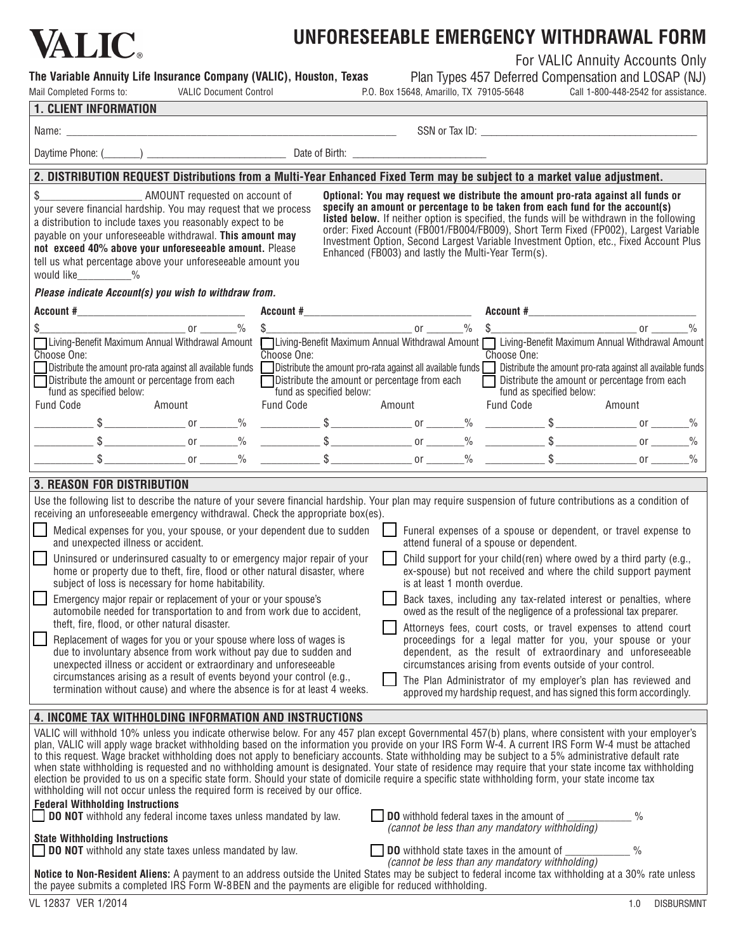

## **Unforeseeable Emergency Withdrawal Form**

**The Variable Annuity Life Insurance Company (VALIC), Houston, Texas**

Mail Completed Forms to: VALIC Document Control P.O. Box 15648, Amarillo, TX 79105-5648

For VALIC Annuity Accounts Only

Plan Types 457 Deferred Compensation and LOSAP (NJ)<br>648, Amarillo, TX 79105-5648 Call 1-800-448-2542 for assistance.

|  | <b>1. CLIENT INFORMATION</b> |
|--|------------------------------|
|  |                              |

| I. ULILINI IINI UITIIIAITUIN                                                                                                                                                                                                                                                                                                                                                                                                                                                                                                                                                                                                                                                                                                                                                                                                                                                                                                                                                                                                                                                                                                                           |        |                                                                                                                  |                                 |                          |                                                                                                                                                                                                                                                                                                                                                                                                                                                                                                                                                                                                                                                                                                                                                                                                                                             |  |                                                                                                                                                                                                                                                                                                                                                                                                                                                                                                          |                                |  |
|--------------------------------------------------------------------------------------------------------------------------------------------------------------------------------------------------------------------------------------------------------------------------------------------------------------------------------------------------------------------------------------------------------------------------------------------------------------------------------------------------------------------------------------------------------------------------------------------------------------------------------------------------------------------------------------------------------------------------------------------------------------------------------------------------------------------------------------------------------------------------------------------------------------------------------------------------------------------------------------------------------------------------------------------------------------------------------------------------------------------------------------------------------|--------|------------------------------------------------------------------------------------------------------------------|---------------------------------|--------------------------|---------------------------------------------------------------------------------------------------------------------------------------------------------------------------------------------------------------------------------------------------------------------------------------------------------------------------------------------------------------------------------------------------------------------------------------------------------------------------------------------------------------------------------------------------------------------------------------------------------------------------------------------------------------------------------------------------------------------------------------------------------------------------------------------------------------------------------------------|--|----------------------------------------------------------------------------------------------------------------------------------------------------------------------------------------------------------------------------------------------------------------------------------------------------------------------------------------------------------------------------------------------------------------------------------------------------------------------------------------------------------|--------------------------------|--|
| Name: __                                                                                                                                                                                                                                                                                                                                                                                                                                                                                                                                                                                                                                                                                                                                                                                                                                                                                                                                                                                                                                                                                                                                               |        |                                                                                                                  |                                 |                          |                                                                                                                                                                                                                                                                                                                                                                                                                                                                                                                                                                                                                                                                                                                                                                                                                                             |  |                                                                                                                                                                                                                                                                                                                                                                                                                                                                                                          |                                |  |
|                                                                                                                                                                                                                                                                                                                                                                                                                                                                                                                                                                                                                                                                                                                                                                                                                                                                                                                                                                                                                                                                                                                                                        |        | Daytime Phone: (Channel Communication Control Control Cate of Birth: Channel Communication Control Communication |                                 |                          |                                                                                                                                                                                                                                                                                                                                                                                                                                                                                                                                                                                                                                                                                                                                                                                                                                             |  |                                                                                                                                                                                                                                                                                                                                                                                                                                                                                                          |                                |  |
| 2. DISTRIBUTION REQUEST Distributions from a Multi-Year Enhanced Fixed Term may be subject to a market value adjustment.                                                                                                                                                                                                                                                                                                                                                                                                                                                                                                                                                                                                                                                                                                                                                                                                                                                                                                                                                                                                                               |        |                                                                                                                  |                                 |                          |                                                                                                                                                                                                                                                                                                                                                                                                                                                                                                                                                                                                                                                                                                                                                                                                                                             |  |                                                                                                                                                                                                                                                                                                                                                                                                                                                                                                          |                                |  |
| AMOUNT requested on account of<br>\$<br>your severe financial hardship. You may request that we process<br>a distribution to include taxes you reasonably expect to be<br>payable on your unforeseeable withdrawal. This amount may<br>not exceed 40% above your unforeseeable amount. Please<br>tell us what percentage above your unforeseeable amount you<br>would like 2%                                                                                                                                                                                                                                                                                                                                                                                                                                                                                                                                                                                                                                                                                                                                                                          |        |                                                                                                                  |                                 |                          |                                                                                                                                                                                                                                                                                                                                                                                                                                                                                                                                                                                                                                                                                                                                                                                                                                             |  | Optional: You may request we distribute the amount pro-rata against all funds or<br>specify an amount or percentage to be taken from each fund for the account(s)<br>listed below. If neither option is specified, the funds will be withdrawn in the following<br>order: Fixed Account (FB001/FB004/FB009), Short Term Fixed (FP002), Largest Variable<br>Investment Option, Second Largest Variable Investment Option, etc., Fixed Account Plus<br>Enhanced (FB003) and lastly the Multi-Year Term(s). |                                |  |
| Please indicate Account(s) you wish to withdraw from.                                                                                                                                                                                                                                                                                                                                                                                                                                                                                                                                                                                                                                                                                                                                                                                                                                                                                                                                                                                                                                                                                                  |        |                                                                                                                  |                                 |                          |                                                                                                                                                                                                                                                                                                                                                                                                                                                                                                                                                                                                                                                                                                                                                                                                                                             |  |                                                                                                                                                                                                                                                                                                                                                                                                                                                                                                          |                                |  |
|                                                                                                                                                                                                                                                                                                                                                                                                                                                                                                                                                                                                                                                                                                                                                                                                                                                                                                                                                                                                                                                                                                                                                        |        |                                                                                                                  |                                 |                          |                                                                                                                                                                                                                                                                                                                                                                                                                                                                                                                                                                                                                                                                                                                                                                                                                                             |  |                                                                                                                                                                                                                                                                                                                                                                                                                                                                                                          |                                |  |
| $\overline{\phantom{a}}$ or $\overline{\phantom{a}}$ $\overline{\phantom{a}}$ $\overline{\phantom{a}}$ $\overline{\phantom{a}}$<br>Living-Benefit Maximum Annual Withdrawal Amount   Living-Benefit Maximum Annual Withdrawal Amount    Living-Benefit Maximum Annual Withdrawal Amount<br>Choose One:<br>Distribute the amount pro-rata against all available funds $\Box$ Distribute the amount pro-rata against all available funds $\Box$ Distribute the amount pro-rata against all available funds<br>Distribute the amount or percentage from each<br>fund as specified below:<br><b>Fund Code</b>                                                                                                                                                                                                                                                                                                                                                                                                                                                                                                                                              | Amount |                                                                                                                  | Choose One:<br><b>Fund Code</b> | fund as specified below: | □ Distribute the amount or percentage from each<br>Amount                                                                                                                                                                                                                                                                                                                                                                                                                                                                                                                                                                                                                                                                                                                                                                                   |  | Choose One:<br>Distribute the amount or percentage from each<br>fund as specified below:<br><b>Fund Code</b>                                                                                                                                                                                                                                                                                                                                                                                             | Amount                         |  |
|                                                                                                                                                                                                                                                                                                                                                                                                                                                                                                                                                                                                                                                                                                                                                                                                                                                                                                                                                                                                                                                                                                                                                        |        |                                                                                                                  |                                 |                          |                                                                                                                                                                                                                                                                                                                                                                                                                                                                                                                                                                                                                                                                                                                                                                                                                                             |  |                                                                                                                                                                                                                                                                                                                                                                                                                                                                                                          |                                |  |
|                                                                                                                                                                                                                                                                                                                                                                                                                                                                                                                                                                                                                                                                                                                                                                                                                                                                                                                                                                                                                                                                                                                                                        |        |                                                                                                                  |                                 |                          |                                                                                                                                                                                                                                                                                                                                                                                                                                                                                                                                                                                                                                                                                                                                                                                                                                             |  |                                                                                                                                                                                                                                                                                                                                                                                                                                                                                                          |                                |  |
|                                                                                                                                                                                                                                                                                                                                                                                                                                                                                                                                                                                                                                                                                                                                                                                                                                                                                                                                                                                                                                                                                                                                                        |        |                                                                                                                  |                                 |                          |                                                                                                                                                                                                                                                                                                                                                                                                                                                                                                                                                                                                                                                                                                                                                                                                                                             |  |                                                                                                                                                                                                                                                                                                                                                                                                                                                                                                          |                                |  |
| Use the following list to describe the nature of your severe financial hardship. Your plan may require suspension of future contributions as a condition of<br>receiving an unforeseeable emergency withdrawal. Check the appropriate box(es).<br>Medical expenses for you, your spouse, or your dependent due to sudden<br>and unexpected illness or accident.<br>Uninsured or underinsured casualty to or emergency major repair of your<br>home or property due to theft, fire, flood or other natural disaster, where<br>subject of loss is necessary for home habitability.<br>Emergency major repair or replacement of your or your spouse's<br>automobile needed for transportation to and from work due to accident,<br>theft, fire, flood, or other natural disaster.<br>Replacement of wages for you or your spouse where loss of wages is<br>due to involuntary absence from work without pay due to sudden and<br>unexpected illness or accident or extraordinary and unforeseeable<br>circumstances arising as a result of events beyond your control (e.g.,<br>termination without cause) and where the absence is for at least 4 weeks. |        |                                                                                                                  |                                 |                          | Funeral expenses of a spouse or dependent, or travel expense to<br>attend funeral of a spouse or dependent.<br>Child support for your child(ren) where owed by a third party (e.g.,<br>ex-spouse) but not received and where the child support payment<br>is at least 1 month overdue.<br>Back taxes, including any tax-related interest or penalties, where<br>owed as the result of the negligence of a professional tax preparer.<br>Attorneys fees, court costs, or travel expenses to attend court<br>proceedings for a legal matter for you, your spouse or your<br>dependent, as the result of extraordinary and unforeseeable<br>circumstances arising from events outside of your control.<br>The Plan Administrator of my employer's plan has reviewed and<br>approved my hardship request, and has signed this form accordingly. |  |                                                                                                                                                                                                                                                                                                                                                                                                                                                                                                          |                                |  |
| 4. INCOME TAX WITHHOLDING INFORMATION AND INSTRUCTIONS                                                                                                                                                                                                                                                                                                                                                                                                                                                                                                                                                                                                                                                                                                                                                                                                                                                                                                                                                                                                                                                                                                 |        |                                                                                                                  |                                 |                          |                                                                                                                                                                                                                                                                                                                                                                                                                                                                                                                                                                                                                                                                                                                                                                                                                                             |  |                                                                                                                                                                                                                                                                                                                                                                                                                                                                                                          |                                |  |
| VALIC will withhold 10% unless you indicate otherwise below. For any 457 plan except Governmental 457(b) plans, where consistent with your employer's<br>plan, VALIC will apply wage bracket withholding based on the information you provide on your IRS Form W-4. A current IRS Form W-4 must be attached<br>to this request. Wage bracket withholding does not apply to beneficiary accounts. State withholding may be subject to a 5% administrative default rate<br>when state withholding is requested and no withholding amount is designated. Your state of residence may require that your state income tax withholding<br>election be provided to us on a specific state form. Should your state of domicile require a specific state withholding form, your state income tax<br>withholding will not occur unless the required form is received by our office.<br><b>Federal Withholding Instructions</b><br><b>DO NOT</b> withhold any federal income taxes unless mandated by law.<br><b>State Withholding Instructions</b><br><b>DO NOT</b> withhold any state taxes unless mandated by law.                                             |        |                                                                                                                  |                                 |                          |                                                                                                                                                                                                                                                                                                                                                                                                                                                                                                                                                                                                                                                                                                                                                                                                                                             |  | DO withhold federal taxes in the amount of<br>(cannot be less than any mandatory withholding)<br><b>DO</b> withhold state taxes in the amount of                                                                                                                                                                                                                                                                                                                                                         | $\frac{0}{0}$<br>$\frac{0}{0}$ |  |
|                                                                                                                                                                                                                                                                                                                                                                                                                                                                                                                                                                                                                                                                                                                                                                                                                                                                                                                                                                                                                                                                                                                                                        |        |                                                                                                                  |                                 |                          |                                                                                                                                                                                                                                                                                                                                                                                                                                                                                                                                                                                                                                                                                                                                                                                                                                             |  | (cannot be less than any mandatory withholding)                                                                                                                                                                                                                                                                                                                                                                                                                                                          |                                |  |

**Notice to Non-Resident Aliens:** A payment to an address outside the United States may be subject to federal income tax withholding at a 30% rate unless the payee submits a completed IRS Form W-8BEN and the payments are eligible for reduced withholding.